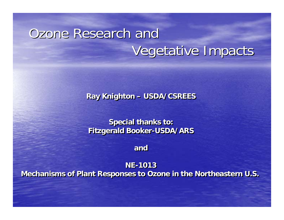# Ozone Research and Vegetative Impacts

**Ray Knighton – USDA/CSREES Ray Knighton – USDA/CSREES**

**Special thanks to: Special thanks to: Fitzgerald Booker-USDA/ARS Fitzgerald Booker-USDA/ARS**

**andand**

**NE-1013NE-1013 Mechanisms of Plant Responses to Ozone in the Northeastern U.S. Mechanisms of Plant Responses to Ozone in the Northeastern U.S.**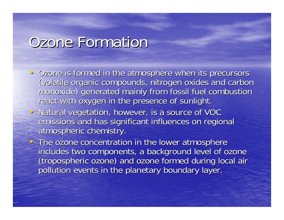### Ozone Formation

- Ozone is formed in the atmosphere when its precursors (volatile organic compounds, nitrogen oxides and carbon monoxide) generated mainly from fossil fuel combustion react with oxygen in the presence of sunlight.
- Natural vegetation, however, is a source of VOC emissions and has significant influences on regional atmospheric chemistry.
- The ozone concentration in the lower atmosphere includes two components, a background level of ozone (tropospheric ozone) and ozone formed during local air pollution events in the planetary boundary layer.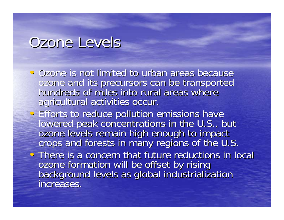#### Ozone Levels

- Ozone is not limited to urban areas because ozone and its precursors can be transported hundreds of miles into rural areas where agricultural activities occur.
- **Efforts to reduce pollution emissions have** lowered peak concentrations in the U.S., but<br>ozone levels remain high enough to impact<br>crops and forests in many regions of the U.S.
- There is a concern that future reductions in local ozone formation will be offset by rising<br>background levels as global industrialization<br>increases.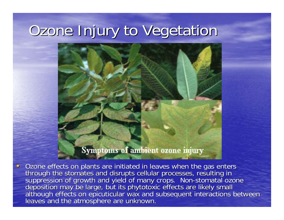# Ozone Injury to Vegetation



 $\bullet$ Ozone effects on plants are initiated in leaves when the gas enters<br>through the stomates and disrupts cellular processes, resulting in<br>suppression of growth and yield of many crops. Non-stomatal ozone<br>deposition may be lar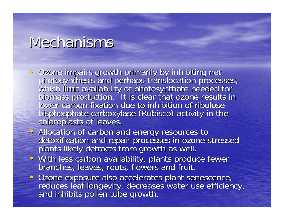#### Mechanisms

- · Ozone impairs growth primarily by inhibiting net • Ozone impairs growth primarily by inhibiting net<br>photosynthesis and perhaps translocation processes,<br>which limit availability of photosynthate needed for<br>biomass production. It is clear that ozone results in<br>lower carbon bisphosphate carboxylase (Rubisco) activity in the chloroplasts of leaves.
- Allocation of carbon and energy resources to<br>detoxification and repair processes in ozone-stressed<br>plants likely detracts from growth as well.
- With less carbon availability, plants produce fewer<br>branches, leaves, roots, flowers and fruit.
- · Ozone exposure also accelerates plant senescence, reduces leaf longevity, decreases water use efficiency,<br>and inhibits pollen tube growth.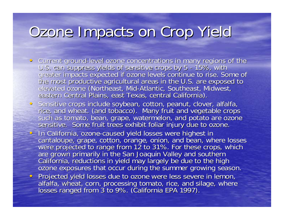# Ozone Impacts on Crop Yield

- $\hspace{.1cm} \circ \hspace{.1cm}$ Current ground-level ozone concentrations in many regions of the Current ground-level ozone concentrations in many regions of the<br>U.S. can suppress yields of sensitive crops by 5 - 15%, with - 15%, with greater impacts expected if ozone levels continue to rise. Some of<br>the most productive agricultural areas in the U.S. are exposed to<br>elevated ozone (Northeast, Mid-Atlantic, Southeast, Midwest, eastern Central Plains, east Texas, central California).
- · Sensitive crops include soybean, cotton, peanut, clover, alfalfa, rice, and wheat. (and tobacco). Many fruit and vegetable crops<br>such as tomato, bean, grape, watermelon, and potato are ozone<br>sensitive. Some fruit trees exhibit foliar injury due to ozone.
- In California, ozone-caused yield losses were highest in cantaloupe, grape, cotton, orange, onion, and bean, where losses<br>were projected to range from 12 to 31%. For these crops, which<br>are grown primarily in the San Joaquin Valley and southern<br>California, reductions in yield may
- Projected yield losses due to ozone were less severe in lemon,<br>alfalfa, wheat, corn, processing tomato, rice, and silage, where<br>losses ranged from 3 to 9%. (California EPA 1997).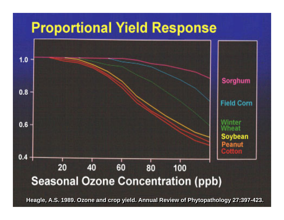#### **Proportional Yield Response**



Heagle, A.S. 1989. Ozone and crop yield. Annual Review of Phytopathology 27:397-423.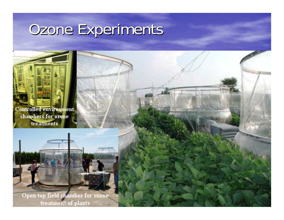# Ozone Experiments

**Controlled environment** chambers for ozone treatments



Open top field chamber for ozone. treatment of plants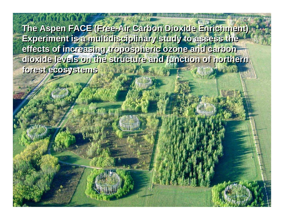**The Aspen FACE (Free-Air Carbon Dioxide Enrichment) The Aspen FACE (Free-Air Carbon Dioxide Enrichment) Experiment is a multidisciplinary study to assess the Experiment is a multidisciplinary study to assess the effects of increasing tropospheric ozone and carbon effects of increasing tropospheric ozone and carbon dioxide levels on the structure and function of northern dioxide levels on the structure and function of northern forest ecosystems forest ecosystems**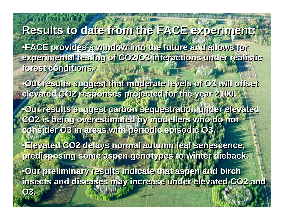#### **Results to date from the FACE experiment: Results to date from the FACE experiment:**

•**FACE provides a window into the future and allows for**  •**FACE provides a window into the future and allows for experimental testing of CO2/O3 interactions under realistic experimental testing of CO2/O3 interactions under realistic forest conditions. forest conditions.** 

•**Our results suggest that moderate levels of O3 will offset**  •**Our results suggest that moderate levels of O3 will offset elevated CO2 responses projected for the year 2100. elevated CO2 responses projected for the year 2100.** 

•**Our results suggest carbon sequestration under elevated**  •**Our results suggest carbon sequestration under elevated CO2 is being overestimated by modellers who do not CO2 is being overestimated by modellers who do not consider O3 in areas with periodic episodic O3. consider O3 in areas with periodic episodic O3.** 

•**Elevated CO2 delays normal autumn leaf senescence,**  •**Elevated CO2 delays normal autumn leaf senescence, predisposing some aspen genotypes to winter dieback. predisposing some aspen genotypes to winter dieback.** 

**O3. O3.** 

•**Our preliminary results indicate that aspen and birch**  •**Our preliminary results indicate that aspen and birch insects and diseases may increase under elevated CO2 and insects and diseases may increase under elevated CO2 and**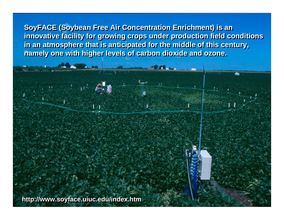**SoyFACE (Soybean Free Air Concentration Enrichment) is an SoyFACE (Soybean Free Air Concentration Enrichment) is an innovative facility for growing crops under production field conditions innovative facility for growing crops under production field conditions in an atmosphere that is anticipated for the middle of this century, in an atmosphere that is anticipated for the middle of this century, namely one with higher levels of carbon dioxide and ozone. namely one with higher levels of carbon dioxide and ozone.**

**http://www.soyface.uiuc.edu/index.htm http://www.soyface.uiuc.edu/index.htm**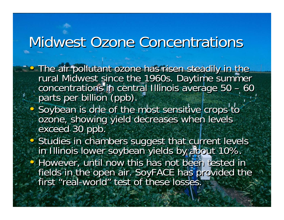## Midwest Ozone Concentrations

- **The air pollutant ozone has risen steadily in the** rural Midwest since the 1960s. Daytime summer concentrations in central Illinois average 50 – 60<br>parts per billion (ppb). • The air pollutant ozone has risen steadily in the<br>rural Midwest since the 1960s. Daytime summer<br>concentrations in central Illinois average 50 – 60 – 60 parts per billion (ppb).
- Soybean is one of the most sensitive crops to ozone, showing yield decreases when levels a exceed 30 ppb. • Soybean is one of the most sensitive crops to ozone, showing yield decreases when levels exceed 30 ppb.
- Studies in chambers suggest that current levels • Studies in chambers suggest that current levels<br>in Illinois lower soybean yields by about 10%. • However, until now this has not been tested in fields in the open air. SoyFACE has provided the fields in the open air. SoyFACE ha<mark>s pro</mark>vided the<br>first "real-world" test of these losses. " test of these losses.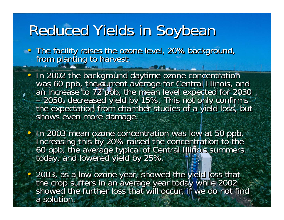# Reduced Yields in Soybean

• The facility raises the ozone level, 20% background,<br>from planting to harvest. from planting to harvest.

• In 2002 the background daytime ozone concentration was 60 ppb, the current average for Central Illinois, and an increase to 72 ppb, the mean level expected for 2030 2050, decreased yield by 15%. This not only confirms the expectation from chamber studies of a yield loss, but shows even more damage.  $\bullet$ • In 2002 the background daytime ozone concentration<br>was 60 ppb, the current average for Central Illinois, and<br>an increase to 72 ppb, the mean level expected for 2030 –– 2050, decreased yield by 15%. This not only confirms<br>the expectation from chamber studies of a yield loss, but<br>shows even more damage.

In 2003 mean ozone concentration was low at 50 ppb. Increasing this by 20% raised the concentration to the 60 ppb, the average typical of Central Illinois summers • In 2003 mean ozone concentration was low at 50 ppb.<br>Increasing this by 20% raised the concentration to the<br>60 ppb, the average typical of Central Illinois summers<br>today, and lowered yield by 25%.

•

 $\bullet$ 

 $\bullet$ 

• 2003, as a low ozone year, showed the yield loss that the crop suffers in an average year today while 2002 • 2003, as a low ozone year, showed the yield loss that<br>the crop suffers in an average year today while 2002<br>showed the further loss that will occur, if we do not find a solution.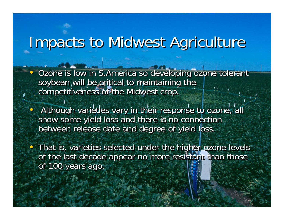# Impacts to Midwest Agriculture

•

 $\bullet$ 

•

 $\bullet$ 

- Ozone is low in S.America so developing ozone tolerant soybean will be critical to maintaining the competitiveness of the Midwest crop.
- **Although varieties vary in their response to ozone, all** show some yield loss and there is no connection between release date and degree of yield loss.
- That is, varieties selected under the higher ozone levels of the last decade appear no more resistant than those of 100 years ago.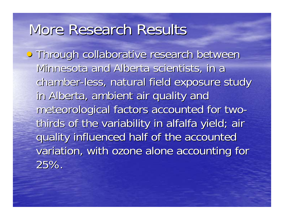## More Research Results

**• Through collaborative research between** Minnesota and Alberta scientists, in a chamber-less, natural field exposure study in Alberta, ambient air quality and meteorological factors accounted for twothirds of the variability in alfalfa yield; air quality influenced half of the accounted variation, with ozone alone accounting for 25%.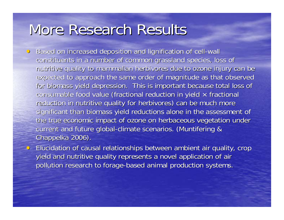## More Research Results

- Based on increased deposition and lignification of cell-wall constituents in a number of common grassland species, loss of nutritive quality to mammalian herbivores due to ozone injury can be expected to approach the same order of magnitude as that observed for biomass yield depression. This is important because total loss of consumable food value (fractional reduction in yield  $\times$  fractional reduction in nutritive quality for herbivores) can be much more significant than biomass yield reductions alone in the assessment of the true economic impact of ozone on herbaceous vegetation under current and future global-climate scenarios. (Muntifering & Chappelka 2006).
- Elucidation of causal relationships between ambient air quality, crop yield and nutritive quality represents a novel application of air pollution research to forage-based animal production systems.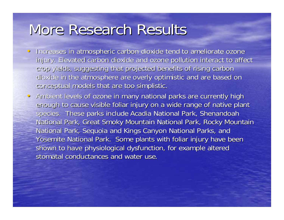## More Research Results

- $\hspace{.1cm}$   $\hspace{.1cm}$ Increases in atmospheric carbon dioxide tend to ameliorate ozone injury. Elevated carbon dioxide and ozone pollution interact to affect crop yields, suggesting that projected benefits of rising carbon dioxide in the atmosphere are overly optimistic and are based on conceptual models that are too simplistic.
- Ambient levels of ozone in many national parks are currently high enough to cause visible foliar injury on a wide range of native plant species. These parks include Acadia National Park, Shenandoah National Park, Great Smoky Mountain National Park, Rocky Mountain National Park, Sequoia and Kings Canyon National Parks, and Yosemite National Park. Some plants with foliar injury have been shown to have physiological dysfunction, for example altered stomatal conductances and water use.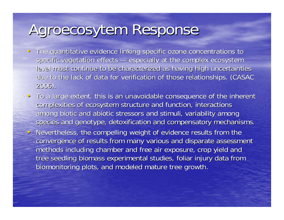# Agroecosytem Response

- $\hspace{.1cm}$   $\hspace{.1cm}$ The quantitative evidence linking specific ozone concentrations to specific vegetation effects — $-$  especially at the complex ecosystem  $\overline{\phantom{a}}$ level must continue to be characterized as having high uncertainties due to the lack of data for verification of those relationships. (CASAC 2006).
- To a large extent, this is an unavoidable consequence of the inherent complexities of ecosystem structure and function, interactions among biotic and abiotic stressors and stimuli, variability among species and genotype, detoxification and compensatory mechanisms. • Nevertheless, the compelling weight of evidence results from the convergence of results from many various and disparate assessment methods including chamber and free air exposure, crop yield and tree seedling biomass experimental studies, foliar injury data from biomonitoring plots, and modeled mature tree growth.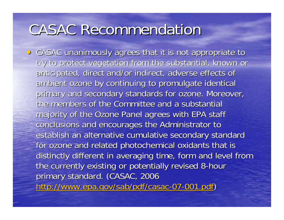## CASAC Recommendation

**• CASAC unanimously agrees that it is not appropriate to** try to protect vegetation from the substantial, known or anticipated, direct and/or indirect, adverse effects of ambient ozone by continuing to promulgate identical primary and secondary standards for ozone. Moreover, the members of the Committee and a substantial majority of the Ozone Panel agrees with EPA staff conclusions and encourages the Administrator to establish an alternative cumulative secondary standard for ozone and related photochemical oxidants that is distinctly different in averaging time, form and level from the currently existing or potentially revised 8-hour primary standard. (CASAC, 2006 http://www.epa.gov/sab/pdf/casac-07-001.pdf)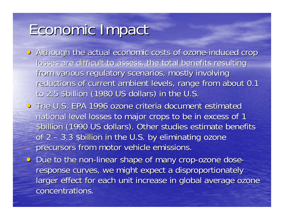# Economic Impact Economic Impact

- Although the actual economic costs of ozone-induced crop losses are difficult to assess, the total benefits resulting from various regulatory scenarios, mostly involving reductions of current ambient levels, range from about 0.1 to 2.5 \$billion (1980 US dollars) in the U.S.
- The U.S. EPA 1996 ozone criteria document estimated national level losses to major crops to be in excess of 1 \$billion (1990 US dollars). Other studies estimate benefits of 2 –- 3.3 \$billion in the U.S. by eliminating ozone precursors from motor vehicle emissions.
- Due to the non-linear shape of many crop-ozone doseresponse curves, we might expect a disproportionately larger effect for each unit increase in global average ozone concentrations.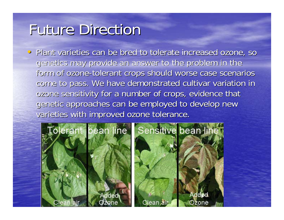# **Future Direction**

• Plant varieties can be bred to tolerate increased ozone, so genetics may provide an answer to the problem in the form of ozone-tolerant crops should worse case scenarios come to pass. We have demonstrated cultivar variation in ozone sensitivity for a number of crops, evidence that genetic approaches can be employed to develop new varieties with improved ozone tolerance.